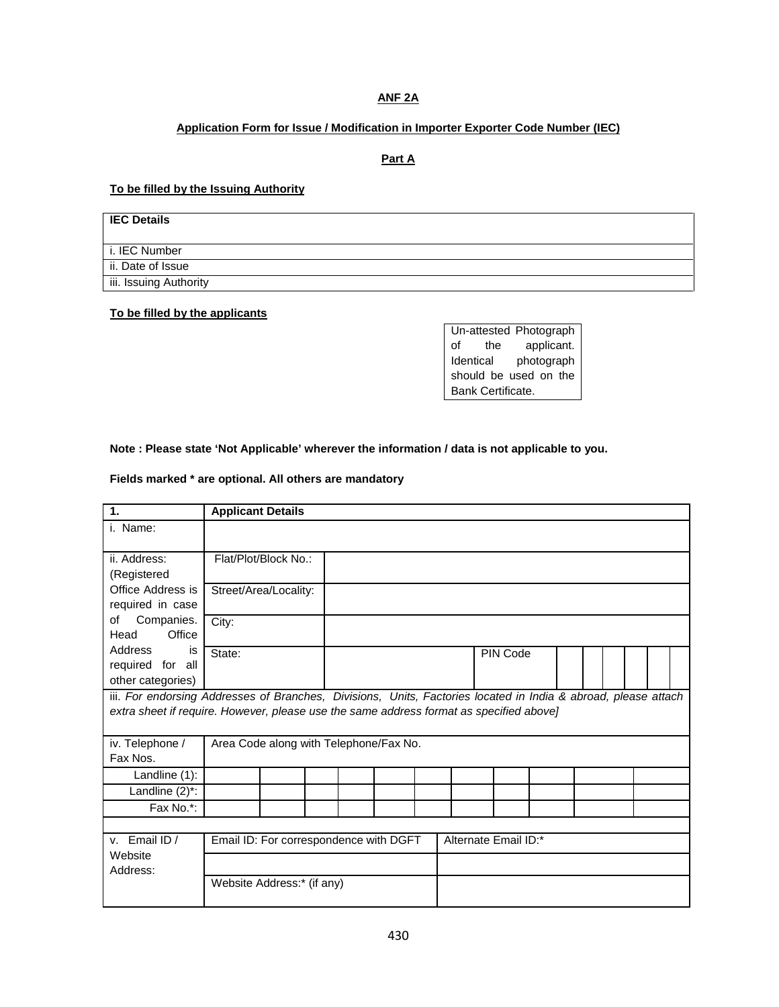## **ANF 2A**

## **Application Form for Issue / Modification in Importer Exporter Code Number (IEC)**

# **Part A**

## **To be filled by the Issuing Authority**

| <b>IEC Details</b>     |
|------------------------|
| i. IEC Number          |
| ii. Date of Issue      |
| iii. Issuing Authority |

## **To be filled by the applicants**

| Un-attested Photograph  |                   |            |  |  |  |  |  |  |  |
|-------------------------|-------------------|------------|--|--|--|--|--|--|--|
| applicant.<br>the<br>of |                   |            |  |  |  |  |  |  |  |
| Identical               |                   | photograph |  |  |  |  |  |  |  |
| should be used on the   |                   |            |  |  |  |  |  |  |  |
|                         | Bank Certificate. |            |  |  |  |  |  |  |  |

**Note : Please state 'Not Applicable' wherever the information / data is not applicable to you.**

**Fields marked \* are optional. All others are mandatory**

| 1.                | <b>Applicant Details</b>                                                                                       |  |                      |  |  |  |
|-------------------|----------------------------------------------------------------------------------------------------------------|--|----------------------|--|--|--|
| i. Name:          |                                                                                                                |  |                      |  |  |  |
|                   |                                                                                                                |  |                      |  |  |  |
| ii. Address:      | Flat/Plot/Block No.:                                                                                           |  |                      |  |  |  |
| (Registered       |                                                                                                                |  |                      |  |  |  |
| Office Address is | Street/Area/Locality:                                                                                          |  |                      |  |  |  |
| required in case  |                                                                                                                |  |                      |  |  |  |
| Companies.<br>of  | City:                                                                                                          |  |                      |  |  |  |
| Office<br>Head    |                                                                                                                |  |                      |  |  |  |
| Address<br>is     | State:                                                                                                         |  | PIN Code             |  |  |  |
| required for all  |                                                                                                                |  |                      |  |  |  |
| other categories) |                                                                                                                |  |                      |  |  |  |
|                   | iii. For endorsing Addresses of Branches, Divisions, Units, Factories located in India & abroad, please attach |  |                      |  |  |  |
|                   | extra sheet if require. However, please use the same address format as specified above]                        |  |                      |  |  |  |
|                   |                                                                                                                |  |                      |  |  |  |
| iv. Telephone /   | Area Code along with Telephone/Fax No.                                                                         |  |                      |  |  |  |
| Fax Nos.          |                                                                                                                |  |                      |  |  |  |
| Landline (1):     |                                                                                                                |  |                      |  |  |  |
| Landline (2)*:    |                                                                                                                |  |                      |  |  |  |
| Fax No.*:         |                                                                                                                |  |                      |  |  |  |
|                   |                                                                                                                |  |                      |  |  |  |
| v. Email ID /     | Email ID: For correspondence with DGFT                                                                         |  | Alternate Email ID:* |  |  |  |
| Website           |                                                                                                                |  |                      |  |  |  |
| Address:          |                                                                                                                |  |                      |  |  |  |
|                   | Website Address:* (if any)                                                                                     |  |                      |  |  |  |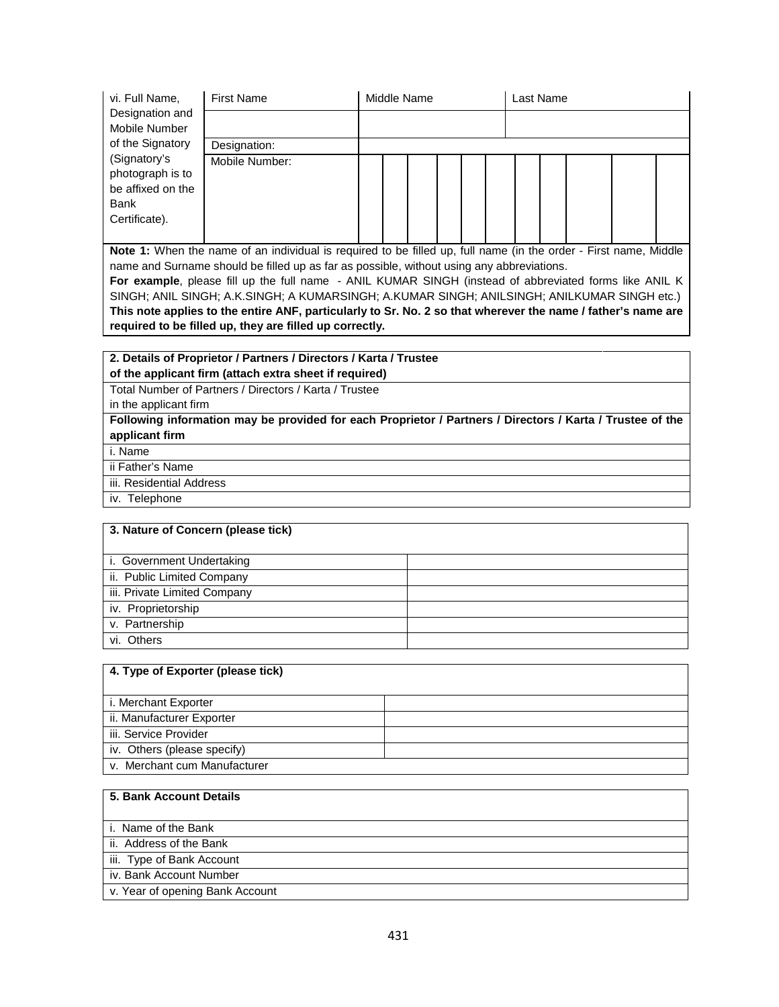| vi. Full Name,                                                                        | <b>First Name</b> | Middle Name |  | Last Name |  |  |  |  |  |
|---------------------------------------------------------------------------------------|-------------------|-------------|--|-----------|--|--|--|--|--|
| Designation and<br>Mobile Number                                                      |                   |             |  |           |  |  |  |  |  |
| of the Signatory                                                                      |                   |             |  |           |  |  |  |  |  |
| (Signatory's<br>photograph is to<br>be affixed on the<br><b>Bank</b><br>Certificate). | Mobile Number:    |             |  |           |  |  |  |  |  |

**Note 1:** When the name of an individual is required to be filled up, full name (in the order - First name, Middle name and Surname should be filled up as far as possible, without using any abbreviations.

**For example**, please fill up the full name - ANIL KUMAR SINGH (instead of abbreviated forms like ANIL K SINGH; ANIL SINGH; A.K.SINGH; A KUMARSINGH; A.KUMAR SINGH; ANILSINGH; ANILKUMAR SINGH etc.) **This note applies to the entire ANF, particularly to Sr. No. 2 so that wherever the name / father's name are required to be filled up, they are filled up correctly.** 

# **2. Details of Proprietor / Partners / Directors / Karta / Trustee**

**of the applicant firm (attach extra sheet if required)**

Total Number of Partners / Directors / Karta / Trustee

in the applicant firm

**Following information may be provided for each Proprietor / Partners / Directors / Karta / Trustee of the applicant firm**

#### i. Name

- ii Father's Name
- iii. Residential Address
- iv. Telephone

| 3. Nature of Concern (please tick) |  |  |  |  |  |  |  |  |
|------------------------------------|--|--|--|--|--|--|--|--|
|                                    |  |  |  |  |  |  |  |  |
| i. Government Undertaking          |  |  |  |  |  |  |  |  |
| ii. Public Limited Company         |  |  |  |  |  |  |  |  |
| iii. Private Limited Company       |  |  |  |  |  |  |  |  |
| iv. Proprietorship                 |  |  |  |  |  |  |  |  |
| v. Partnership                     |  |  |  |  |  |  |  |  |
| vi. Others                         |  |  |  |  |  |  |  |  |

## **4. Type of Exporter (please tick)**

| i. Merchant Exporter         |  |
|------------------------------|--|
| ii. Manufacturer Exporter    |  |
| iii. Service Provider        |  |
| iv. Others (please specify)  |  |
| v. Merchant cum Manufacturer |  |

### **5. Bank Account Details**

| i. Name of the Bank |  |
|---------------------|--|

- ii. Address of the Bank
- iii. Type of Bank Account
- iv. Bank Account Number
- v. Year of opening Bank Account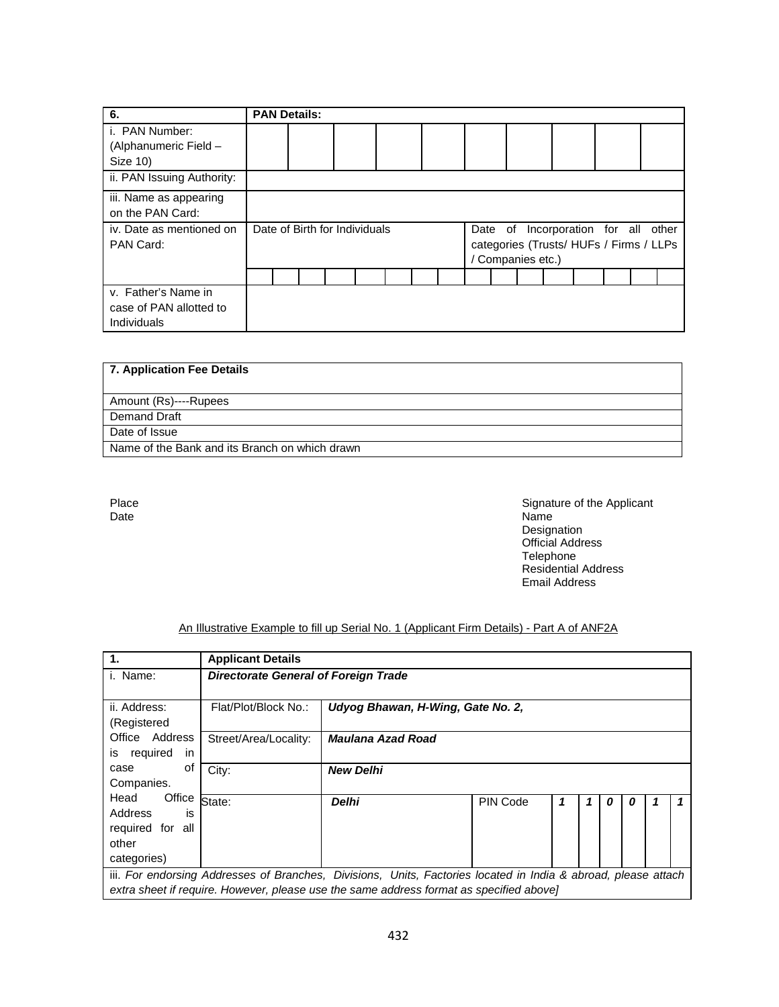| 6.                         | <b>PAN Details:</b> |  |                               |  |                                         |         |                   |  |  |                       |       |
|----------------------------|---------------------|--|-------------------------------|--|-----------------------------------------|---------|-------------------|--|--|-----------------------|-------|
| i. PAN Number:             |                     |  |                               |  |                                         |         |                   |  |  |                       |       |
| (Alphanumeric Field -      |                     |  |                               |  |                                         |         |                   |  |  |                       |       |
| Size 10)                   |                     |  |                               |  |                                         |         |                   |  |  |                       |       |
| ii. PAN Issuing Authority: |                     |  |                               |  |                                         |         |                   |  |  |                       |       |
| iii. Name as appearing     |                     |  |                               |  |                                         |         |                   |  |  |                       |       |
| on the PAN Card:           |                     |  |                               |  |                                         |         |                   |  |  |                       |       |
| iv. Date as mentioned on   |                     |  | Date of Birth for Individuals |  |                                         | Date of |                   |  |  | Incorporation for all | other |
| PAN Card:                  |                     |  |                               |  | categories (Trusts/ HUFs / Firms / LLPs |         |                   |  |  |                       |       |
|                            |                     |  |                               |  |                                         |         | / Companies etc.) |  |  |                       |       |
|                            |                     |  |                               |  |                                         |         |                   |  |  |                       |       |
| v. Father's Name in        |                     |  |                               |  |                                         |         |                   |  |  |                       |       |
| case of PAN allotted to    |                     |  |                               |  |                                         |         |                   |  |  |                       |       |
| Individuals                |                     |  |                               |  |                                         |         |                   |  |  |                       |       |

| 7. Application Fee Details                     |
|------------------------------------------------|
| Amount (Rs)----Rupees                          |
| Demand Draft                                   |
| Date of Issue                                  |
| Name of the Bank and its Branch on which drawn |

Place Signature of the Applicant Date Signature of the Applicant Date Date **Name is a set of the contract of the contract of the contract of the contract of the contract of the contract of the contract of the contract of the contract of the contract of the contract of the contract of the con** Designation Official Address Telephone Residential Address Email Address

# An Illustrative Example to fill up Serial No. 1 (Applicant Firm Details) - Part A of ANF2A

| 1.                   | <b>Applicant Details</b>                    |                                                                                                                |          |  |  |   |  |  |  |  |  |
|----------------------|---------------------------------------------|----------------------------------------------------------------------------------------------------------------|----------|--|--|---|--|--|--|--|--|
| i. Name:             | <b>Directorate General of Foreign Trade</b> |                                                                                                                |          |  |  |   |  |  |  |  |  |
|                      |                                             |                                                                                                                |          |  |  |   |  |  |  |  |  |
| ii. Address:         | Flat/Plot/Block No.:                        | Udyog Bhawan, H-Wing, Gate No. 2,                                                                              |          |  |  |   |  |  |  |  |  |
| (Registered          |                                             |                                                                                                                |          |  |  |   |  |  |  |  |  |
| Office Address       | Street/Area/Locality:                       | <b>Maulana Azad Road</b>                                                                                       |          |  |  |   |  |  |  |  |  |
| required<br>in<br>is |                                             |                                                                                                                |          |  |  |   |  |  |  |  |  |
| оf<br>case           | City:                                       | <b>New Delhi</b>                                                                                               |          |  |  |   |  |  |  |  |  |
| Companies.           |                                             |                                                                                                                |          |  |  |   |  |  |  |  |  |
| Office<br>Head       | State:                                      | <b>Delhi</b>                                                                                                   | PIN Code |  |  | 0 |  |  |  |  |  |
| Address<br>is        |                                             |                                                                                                                |          |  |  |   |  |  |  |  |  |
| required for all     |                                             |                                                                                                                |          |  |  |   |  |  |  |  |  |
| other                |                                             |                                                                                                                |          |  |  |   |  |  |  |  |  |
| categories)          |                                             |                                                                                                                |          |  |  |   |  |  |  |  |  |
|                      |                                             | iii. For endorsing Addresses of Branches, Divisions, Units, Factories located in India & abroad, please attach |          |  |  |   |  |  |  |  |  |
|                      |                                             | extra sheet if require. However, please use the same address format as specified abovel                        |          |  |  |   |  |  |  |  |  |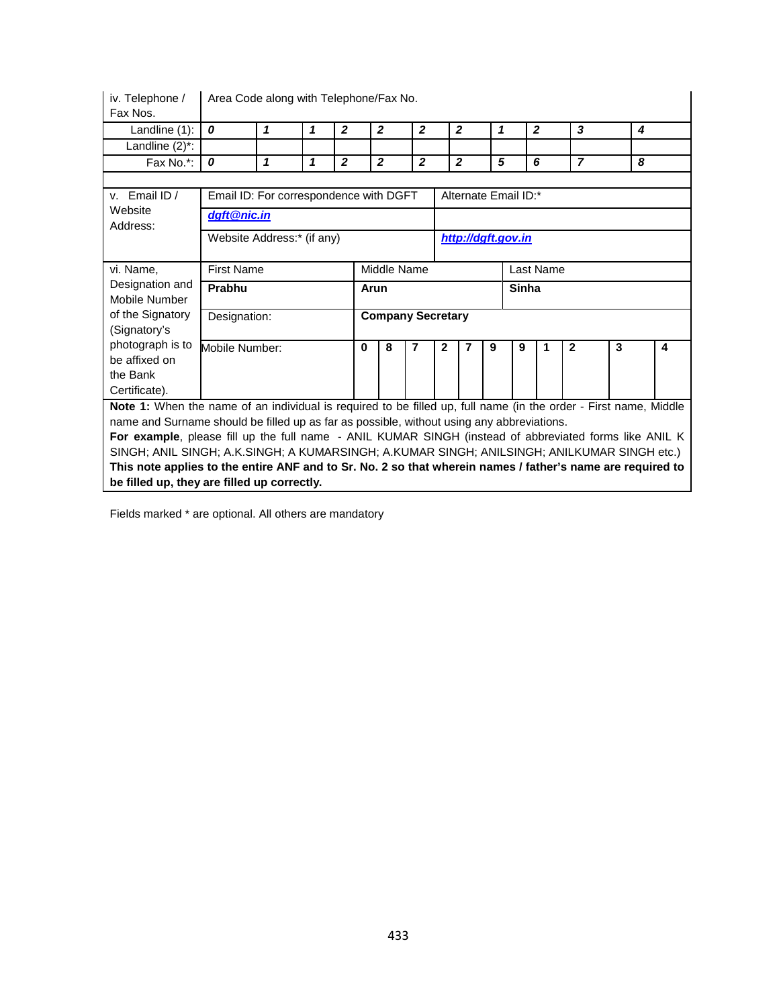| iv. Telephone /<br>Fax Nos.                                                                                      | Area Code along with Telephone/Fax No. |              |             |                |                          |              |                |              |                      |   |              |                |                |   |   |
|------------------------------------------------------------------------------------------------------------------|----------------------------------------|--------------|-------------|----------------|--------------------------|--------------|----------------|--------------|----------------------|---|--------------|----------------|----------------|---|---|
| Landline (1):                                                                                                    | 0                                      | $\mathbf{1}$ | 1           | $\overline{2}$ | $\mathbf{2}$             |              | $\overline{2}$ |              | $\overline{2}$       | 1 |              | $\overline{2}$ | 3              | 4 |   |
| Landline $(2)^*$ :                                                                                               |                                        |              |             |                |                          |              |                |              |                      |   |              |                |                |   |   |
| Fax No.*:                                                                                                        | 0                                      | $\mathbf{1}$ | 1           | $\overline{2}$ |                          | $\mathbf{2}$ | $\mathbf{2}$   |              | $\mathbf{2}$         | 5 |              | 6              | $\overline{7}$ | 8 |   |
|                                                                                                                  |                                        |              |             |                |                          |              |                |              |                      |   |              |                |                |   |   |
| v. Email ID /                                                                                                    | Email ID: For correspondence with DGFT |              |             |                |                          |              |                |              | Alternate Email ID:* |   |              |                |                |   |   |
| Website<br>Address:                                                                                              | dgft@nic.in                            |              |             |                |                          |              |                |              |                      |   |              |                |                |   |   |
|                                                                                                                  | Website Address:* (if any)             |              |             |                |                          |              |                |              | http://dgft.gov.in   |   |              |                |                |   |   |
| vi. Name,                                                                                                        | <b>First Name</b>                      |              | Middle Name |                |                          |              |                |              | Last Name            |   |              |                |                |   |   |
| Designation and                                                                                                  | Prabhu                                 |              |             |                | Arun                     |              |                |              |                      |   | <b>Sinha</b> |                |                |   |   |
| Mobile Number                                                                                                    |                                        |              |             |                |                          |              |                |              |                      |   |              |                |                |   |   |
| of the Signatory<br>(Signatory's                                                                                 | Designation:                           |              |             |                | <b>Company Secretary</b> |              |                |              |                      |   |              |                |                |   |   |
| photograph is to                                                                                                 | Mobile Number:                         |              |             |                | $\bf{0}$                 | 8            | 7              | $\mathbf{2}$ | 7                    | 9 | 9            | 1              | $\overline{2}$ | 3 | 4 |
| be affixed on                                                                                                    |                                        |              |             |                |                          |              |                |              |                      |   |              |                |                |   |   |
| the Bank                                                                                                         |                                        |              |             |                |                          |              |                |              |                      |   |              |                |                |   |   |
| Certificate).                                                                                                    |                                        |              |             |                |                          |              |                |              |                      |   |              |                |                |   |   |
| Note 1: When the name of an individual is required to be filled up, full name (in the order - First name, Middle |                                        |              |             |                |                          |              |                |              |                      |   |              |                |                |   |   |
| name and Surname should be filled up as far as possible, without using any abbreviations.                        |                                        |              |             |                |                          |              |                |              |                      |   |              |                |                |   |   |
| For example, please fill up the full name - ANIL KUMAR SINGH (instead of abbreviated forms like ANIL K           |                                        |              |             |                |                          |              |                |              |                      |   |              |                |                |   |   |
| SINGH; ANIL SINGH; A.K.SINGH; A KUMARSINGH; A.KUMAR SINGH; ANILSINGH; ANILKUMAR SINGH etc.)                      |                                        |              |             |                |                          |              |                |              |                      |   |              |                |                |   |   |
| This note applies to the entire ANF and to Sr. No. 2 so that wherein names / father's name are required to       |                                        |              |             |                |                          |              |                |              |                      |   |              |                |                |   |   |
| be filled up, they are filled up correctly.                                                                      |                                        |              |             |                |                          |              |                |              |                      |   |              |                |                |   |   |

Fields marked \* are optional. All others are mandatory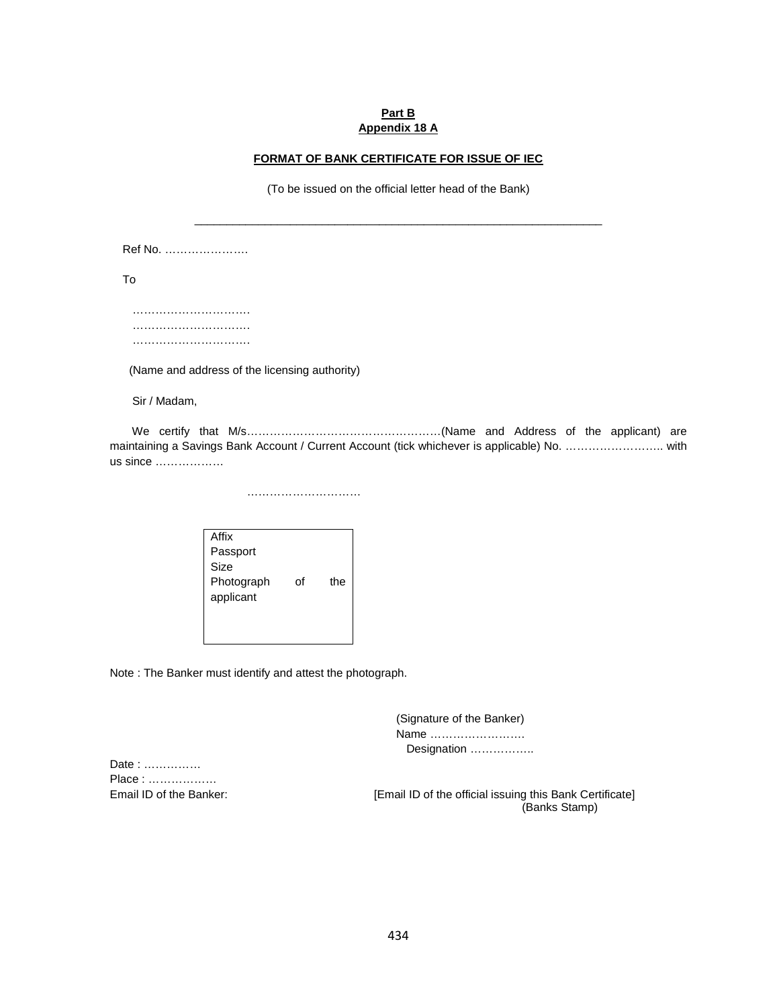### **Part B Appendix 18 A**

### **FORMAT OF BANK CERTIFICATE FOR ISSUE OF IEC**

(To be issued on the official letter head of the Bank)

\_\_\_\_\_\_\_\_\_\_\_\_\_\_\_\_\_\_\_\_\_\_\_\_\_\_\_\_\_\_\_\_\_\_\_\_\_\_\_\_\_\_\_\_\_\_\_\_\_\_\_\_\_\_\_\_\_\_\_\_\_\_\_\_

Ref No. ………………….

To

 …………………………. …………………………. ………………………….

(Name and address of the licensing authority)

Sir / Madam,

 We certify that M/s……………………………………………(Name and Address of the applicant) are maintaining a Savings Bank Account / Current Account (tick whichever is applicable) No. …………………….. with us since ………………

…………………………

| Affix      |    |     |
|------------|----|-----|
| Passport   |    |     |
| Size       |    |     |
| Photograph | Ωf | the |
| applicant  |    |     |
|            |    |     |
|            |    |     |

Note : The Banker must identify and attest the photograph.

 (Signature of the Banker) Name ……………………. Designation ……………..

Date : …………… Place : ………………

Email ID of the Banker: [Email ID of the official issuing this Bank Certificate] (Banks Stamp)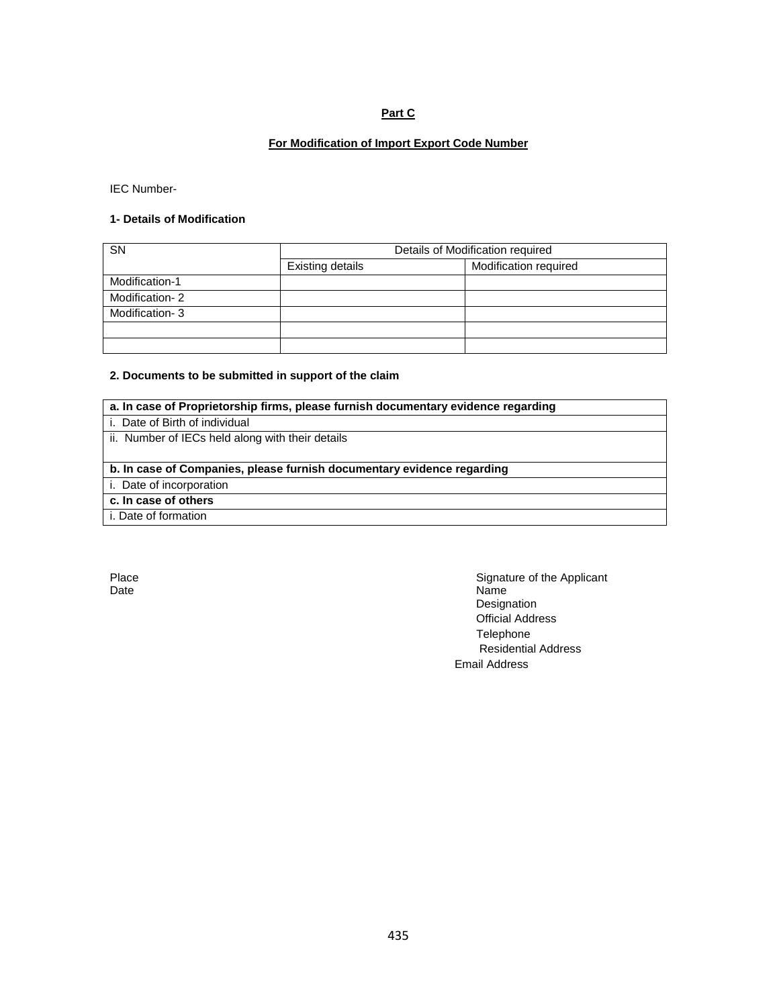# **Part C**

## **For Modification of Import Export Code Number**

IEC Number-

### **1- Details of Modification**

| <b>SN</b>      | Details of Modification required |                       |
|----------------|----------------------------------|-----------------------|
|                | <b>Existing details</b>          | Modification required |
| Modification-1 |                                  |                       |
| Modification-2 |                                  |                       |
| Modification-3 |                                  |                       |
|                |                                  |                       |
|                |                                  |                       |

#### **2. Documents to be submitted in support of the claim**

### **a. In case of Proprietorship firms, please furnish documentary evidence regarding**

i. Date of Birth of individual

ii. Number of IECs held along with their details

# **b. In case of Companies, please furnish documentary evidence regarding**

i. Date of incorporation

**c. In case of others**

i. Date of formation

Place Signature of the Applicant Date Street Street Signature of the Applicant Date Street Street Street Street Street Street Street Street Street Street Street Street Street Street Street Street Street Street Street Stree Date **Name** Name **Name** Name **Name**  Designation Official Address Telephone Residential Address Email Address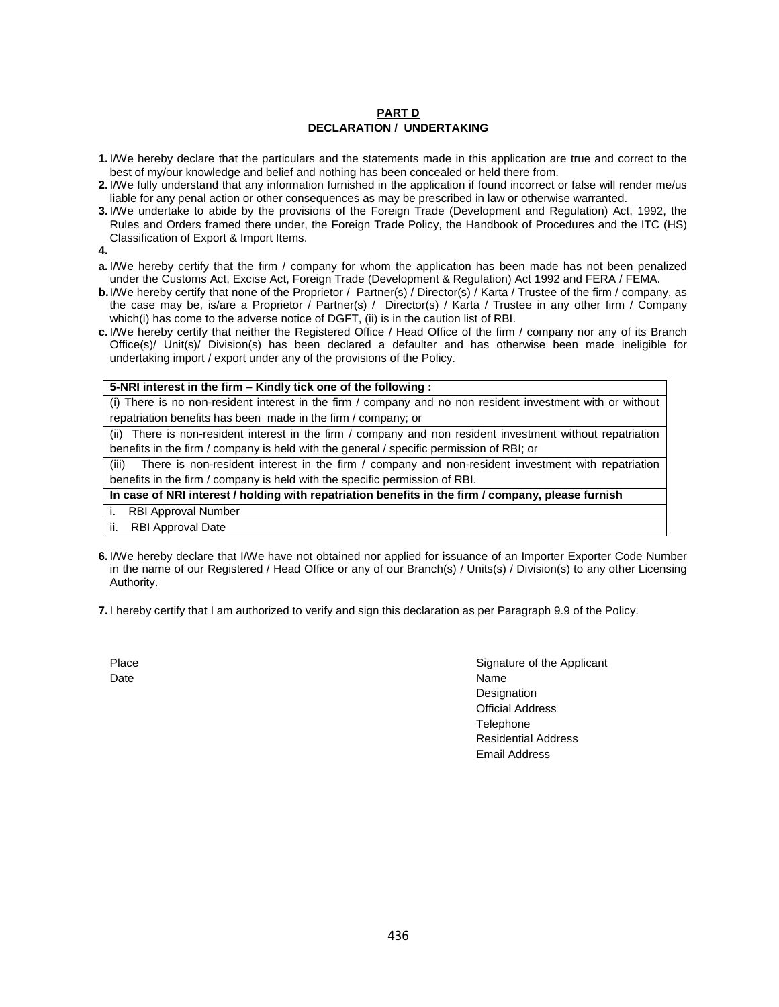## **PART D DECLARATION / UNDERTAKING**

- **1.** I/We hereby declare that the particulars and the statements made in this application are true and correct to the best of my/our knowledge and belief and nothing has been concealed or held there from.
- **2.** I/We fully understand that any information furnished in the application if found incorrect or false will render me/us liable for any penal action or other consequences as may be prescribed in law or otherwise warranted.
- **3.** I/We undertake to abide by the provisions of the Foreign Trade (Development and Regulation) Act, 1992, the Rules and Orders framed there under, the Foreign Trade Policy, the Handbook of Procedures and the ITC (HS) Classification of Export & Import Items.

**4.**

- **a.** I/We hereby certify that the firm / company for whom the application has been made has not been penalized under the Customs Act, Excise Act, Foreign Trade (Development & Regulation) Act 1992 and FERA / FEMA.
- **b.**I/We hereby certify that none of the Proprietor / Partner(s) / Director(s) / Karta / Trustee of the firm / company, as the case may be, is/are a Proprietor / Partner(s) / Director(s) / Karta / Trustee in any other firm / Company which(i) has come to the adverse notice of DGFT, (ii) is in the caution list of RBI.
- **c.** I/We hereby certify that neither the Registered Office / Head Office of the firm / company nor any of its Branch Office(s)/ Unit(s)/ Division(s) has been declared a defaulter and has otherwise been made ineligible for undertaking import / export under any of the provisions of the Policy.

## **5-NRI interest in the firm – Kindly tick one of the following :**

(i) There is no non-resident interest in the firm / company and no non resident investment with or without repatriation benefits has been made in the firm / company; or

(ii) There is non-resident interest in the firm / company and non resident investment without repatriation benefits in the firm / company is held with the general / specific permission of RBI; or

(iii) There is non-resident interest in the firm / company and non-resident investment with repatriation benefits in the firm / company is held with the specific permission of RBI.

**In case of NRI interest / holding with repatriation benefits in the firm / company, please furnish**

i. RBI Approval Number

ii. RBI Approval Date

**6.** I/We hereby declare that I/We have not obtained nor applied for issuance of an Importer Exporter Code Number in the name of our Registered / Head Office or any of our Branch(s) / Units(s) / Division(s) to any other Licensing Authority.

**7.** I hereby certify that I am authorized to verify and sign this declaration as per Paragraph 9.9 of the Policy.

Place Signature of the Applicant Date **Name** Name **Name** Name **Name Designation** Official Address Telephone Residential Address Email Address